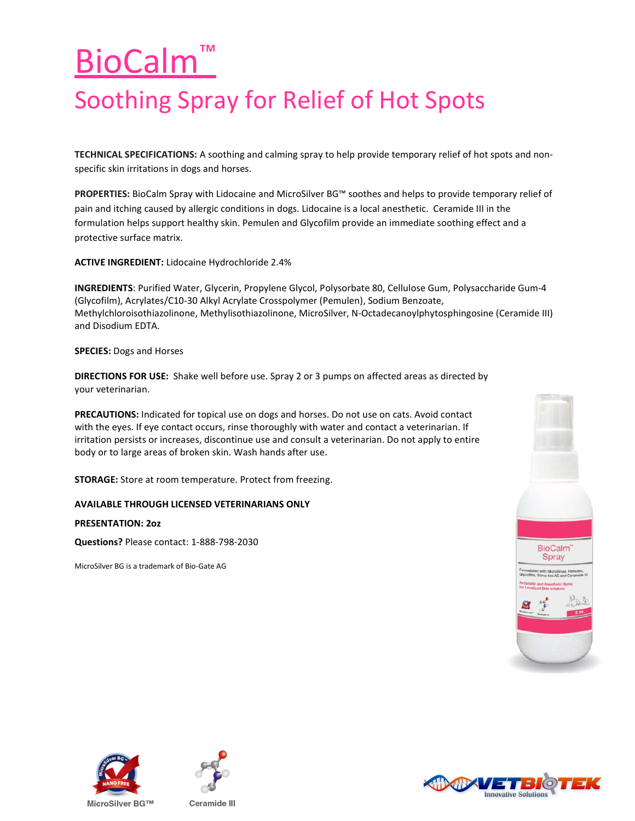## BioCalm™ Soothing Spray for Relief of Hot Spots

TECHNICAL SPECIFICATIONS: A soothing and calming spray to help provide temporary relief of hot spots and nonspecific skin irritations in dogs and horses.

PROPERTIES: BioCalm Spray with Lidocaine and MicroSilver BG™ soothes and helps to provide temporary relief of pain and itching caused by allergic conditions in dogs. Lidocaine is a local anesthetic. Ceramide III in the formulation helps support healthy skin. Pemulen and Glycofilm provide an immediate soothing effect and a protective surface matrix.

ACTIVE INGREDIENT: Lidocaine Hydrochloride 2.4%

INGREDIENTS: Purified Water, Glycerin, Propylene Glycol, Polysorbate 80, Cellulose Gum, Polysaccharide Gum-4 (Glycofilm), Acrylates/C10-30 Alkyl Acrylate Crosspolymer (Pemulen), Sodium Benzoate, Methylchloroisothiazolinone, Methylisothiazolinone, MicroSilver, N-Octadecanoylphytosphingosine (Ceramide III) and Disodium EDTA.

SPECIES: Dogs and Horses

DIRECTIONS FOR USE: Shake well before use. Spray 2 or 3 pumps on affected areas as directed by your veterinarian.

PRECAUTIONS: Indicated for topical use on dogs and horses. Do not use on cats. Avoid contact with the eyes. If eye contact occurs, rinse thoroughly with water and contact a veterinarian. If irritation persists or increases, discontinue use and consult a veterinarian. Do not apply to entire body or to large areas of broken skin. Wash hands after use.

STORAGE: Store at room temperature. Protect from freezing.

## AVAILABLE THROUGH LICENSED VETERINARIANS ONLY

PRESENTATION: 2oz

Questions? Please contact: 1-888-798-2030

MicroSilver BG is a trademark of Bio-Gate AG